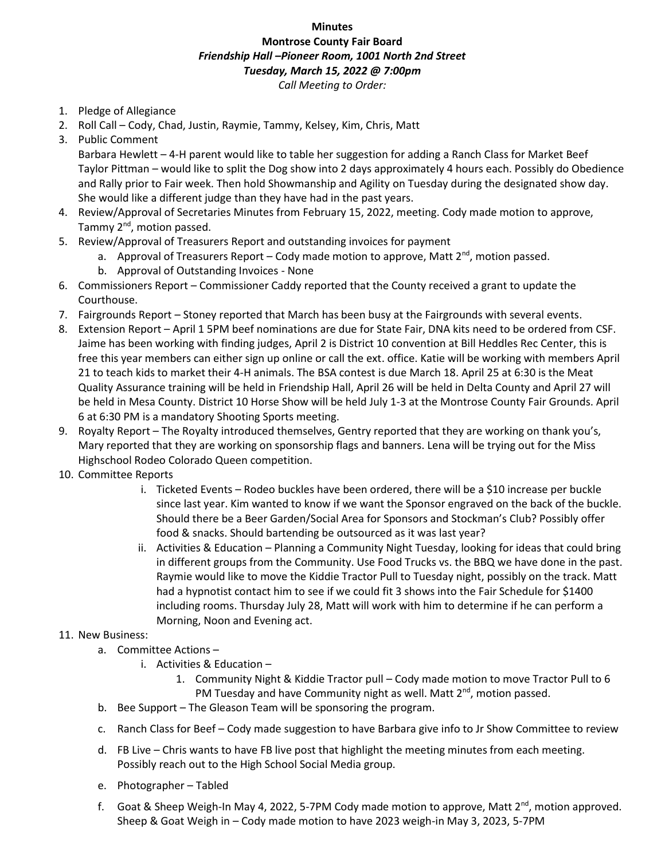## **Minutes**

## **Montrose County Fair Board** *Friendship Hall –Pioneer Room, 1001 North 2nd Street Tuesday, March 15, 2022 @ 7:00pm Call Meeting to Order:*

- 1. Pledge of Allegiance
- 2. Roll Call Cody, Chad, Justin, Raymie, Tammy, Kelsey, Kim, Chris, Matt
- 3. Public Comment

Barbara Hewlett – 4-H parent would like to table her suggestion for adding a Ranch Class for Market Beef Taylor Pittman – would like to split the Dog show into 2 days approximately 4 hours each. Possibly do Obedience and Rally prior to Fair week. Then hold Showmanship and Agility on Tuesday during the designated show day. She would like a different judge than they have had in the past years.

- 4. Review/Approval of Secretaries Minutes from February 15, 2022, meeting. Cody made motion to approve, Tammy 2<sup>nd</sup>, motion passed.
- 5. Review/Approval of Treasurers Report and outstanding invoices for payment
	- a. Approval of Treasurers Report Cody made motion to approve, Matt  $2^{nd}$ , motion passed.
	- b. Approval of Outstanding Invoices None
- 6. Commissioners Report Commissioner Caddy reported that the County received a grant to update the Courthouse.
- 7. Fairgrounds Report Stoney reported that March has been busy at the Fairgrounds with several events.
- 8. Extension Report April 1 5PM beef nominations are due for State Fair, DNA kits need to be ordered from CSF. Jaime has been working with finding judges, April 2 is District 10 convention at Bill Heddles Rec Center, this is free this year members can either sign up online or call the ext. office. Katie will be working with members April 21 to teach kids to market their 4-H animals. The BSA contest is due March 18. April 25 at 6:30 is the Meat Quality Assurance training will be held in Friendship Hall, April 26 will be held in Delta County and April 27 will be held in Mesa County. District 10 Horse Show will be held July 1-3 at the Montrose County Fair Grounds. April 6 at 6:30 PM is a mandatory Shooting Sports meeting.
- 9. Royalty Report The Royalty introduced themselves, Gentry reported that they are working on thank you's, Mary reported that they are working on sponsorship flags and banners. Lena will be trying out for the Miss Highschool Rodeo Colorado Queen competition.
- 10. Committee Reports
	- i. Ticketed Events Rodeo buckles have been ordered, there will be a \$10 increase per buckle since last year. Kim wanted to know if we want the Sponsor engraved on the back of the buckle. Should there be a Beer Garden/Social Area for Sponsors and Stockman's Club? Possibly offer food & snacks. Should bartending be outsourced as it was last year?
	- ii. Activities & Education Planning a Community Night Tuesday, looking for ideas that could bring in different groups from the Community. Use Food Trucks vs. the BBQ we have done in the past. Raymie would like to move the Kiddie Tractor Pull to Tuesday night, possibly on the track. Matt had a hypnotist contact him to see if we could fit 3 shows into the Fair Schedule for \$1400 including rooms. Thursday July 28, Matt will work with him to determine if he can perform a Morning, Noon and Evening act.

## 11. New Business:

- a. Committee Actions
	- i. Activities & Education
		- 1. Community Night & Kiddie Tractor pull Cody made motion to move Tractor Pull to 6 PM Tuesday and have Community night as well. Matt 2<sup>nd</sup>, motion passed.
- b. Bee Support The Gleason Team will be sponsoring the program.
- c. Ranch Class for Beef Cody made suggestion to have Barbara give info to Jr Show Committee to review
- d. FB Live Chris wants to have FB live post that highlight the meeting minutes from each meeting. Possibly reach out to the High School Social Media group.
- e. Photographer Tabled
- f. Goat & Sheep Weigh-In May 4, 2022, 5-7PM Cody made motion to approve, Matt  $2^{nd}$ , motion approved. Sheep & Goat Weigh in – Cody made motion to have 2023 weigh-in May 3, 2023, 5-7PM